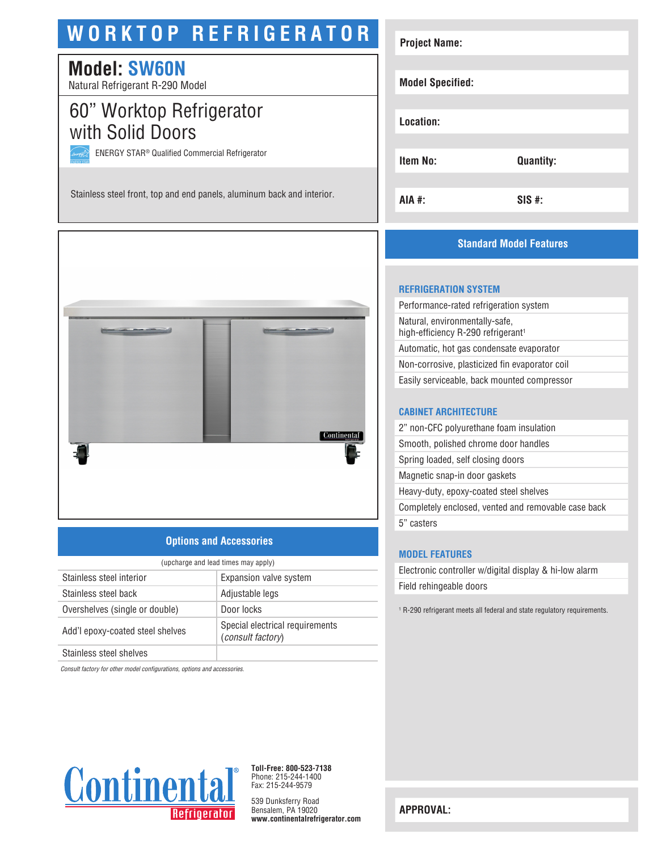# **WORKTOP REFRIGERATOR**

# **Model: SW60N**

Natural Refrigerant R-290 Model

# 60" Worktop Refrigerator with Solid Doors

ENERGY STAR® Qualified Commercial Refrigerator

Stainless steel front, top and end panels, aluminum back and interior.



## **Options and Accessories**

| (upcharge and lead times may apply) |                                                             |  |
|-------------------------------------|-------------------------------------------------------------|--|
| Stainless steel interior            | Expansion valve system                                      |  |
| Stainless steel back                | Adjustable legs                                             |  |
| Overshelves (single or double)      | Door locks                                                  |  |
| Add'l epoxy-coated steel shelves    | Special electrical requirements<br><i>(consult factory)</i> |  |
| Stainless steel shelves             |                                                             |  |

*Consult factory for other model configurations, options and accessories.*



**Toll-Free: 800-523-7138** Phone: 215-244-1400 Fax: 215-244-9579

539 Dunksferry Road Bensalem, PA 19020 **www.continentalrefrigerator.com** 

| <b>Project Name:</b>    |                  |  |
|-------------------------|------------------|--|
| <b>Model Specified:</b> |                  |  |
| Location:               |                  |  |
| Item No:                | <b>Quantity:</b> |  |
| AIA #:                  | $SIS$ #:         |  |

## **Standard Model Features**

#### **REFRIGERATION SYSTEM**

| Performance-rated refrigeration system                                           |
|----------------------------------------------------------------------------------|
| Natural, environmentally-safe,<br>high-efficiency R-290 refrigerant <sup>1</sup> |
| Automatic, hot gas condensate evaporator                                         |
| Non-corrosive, plasticized fin evaporator coil                                   |
| Easily serviceable, back mounted compressor                                      |
|                                                                                  |

#### **CABINET ARCHITECTURE**

| 2" non-CFC polyurethane foam insulation             |
|-----------------------------------------------------|
| Smooth, polished chrome door handles                |
| Spring loaded, self closing doors                   |
| Magnetic snap-in door gaskets                       |
| Heavy-duty, epoxy-coated steel shelves              |
| Completely enclosed, vented and removable case back |
| 5" casters                                          |
|                                                     |

#### **MODEL FEATURES**

Electronic controller w/digital display & hi-low alarm Field rehingeable doors

1 R-290 refrigerant meets all federal and state regulatory requirements.

**APPROVAL:**